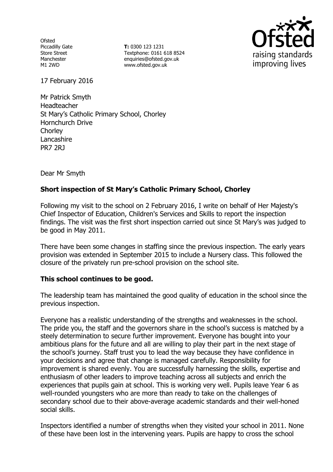**Ofsted** Piccadilly Gate Store Street Manchester M1 2WD

**T:** 0300 123 1231 Textphone: 0161 618 8524 enquiries@ofsted.gov.uk www.ofsted.gov.uk



17 February 2016

Mr Patrick Smyth Headteacher St Mary's Catholic Primary School, Chorley Hornchurch Drive **Chorley Lancashire** PR7 2RJ

Dear Mr Smyth

# **Short inspection of St Mary's Catholic Primary School, Chorley**

Following my visit to the school on 2 February 2016, I write on behalf of Her Majesty's Chief Inspector of Education, Children's Services and Skills to report the inspection findings. The visit was the first short inspection carried out since St Mary's was judged to be good in May 2011.

There have been some changes in staffing since the previous inspection. The early years provision was extended in September 2015 to include a Nursery class. This followed the closure of the privately run pre-school provision on the school site.

## **This school continues to be good.**

The leadership team has maintained the good quality of education in the school since the previous inspection.

Everyone has a realistic understanding of the strengths and weaknesses in the school. The pride you, the staff and the governors share in the school's success is matched by a steely determination to secure further improvement. Everyone has bought into your ambitious plans for the future and all are willing to play their part in the next stage of the school's journey. Staff trust you to lead the way because they have confidence in your decisions and agree that change is managed carefully. Responsibility for improvement is shared evenly. You are successfully harnessing the skills, expertise and enthusiasm of other leaders to improve teaching across all subjects and enrich the experiences that pupils gain at school. This is working very well. Pupils leave Year 6 as well-rounded youngsters who are more than ready to take on the challenges of secondary school due to their above-average academic standards and their well-honed social skills.

Inspectors identified a number of strengths when they visited your school in 2011. None of these have been lost in the intervening years. Pupils are happy to cross the school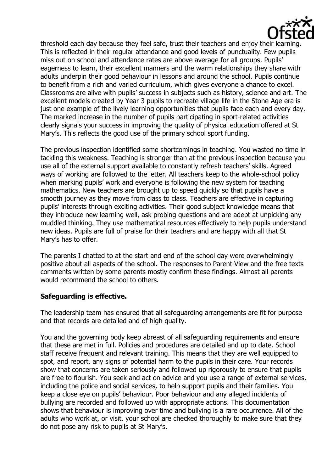

threshold each day because they feel safe, trust their teachers and enjoy their learning. This is reflected in their regular attendance and good levels of punctuality. Few pupils miss out on school and attendance rates are above average for all groups. Pupils' eagerness to learn, their excellent manners and the warm relationships they share with adults underpin their good behaviour in lessons and around the school. Pupils continue to benefit from a rich and varied curriculum, which gives everyone a chance to excel. Classrooms are alive with pupils' success in subjects such as history, science and art. The excellent models created by Year 3 pupils to recreate village life in the Stone Age era is just one example of the lively learning opportunities that pupils face each and every day. The marked increase in the number of pupils participating in sport-related activities clearly signals your success in improving the quality of physical education offered at St Mary's. This reflects the good use of the primary school sport funding.

The previous inspection identified some shortcomings in teaching. You wasted no time in tackling this weakness. Teaching is stronger than at the previous inspection because you use all of the external support available to constantly refresh teachers' skills. Agreed ways of working are followed to the letter. All teachers keep to the whole-school policy when marking pupils' work and everyone is following the new system for teaching mathematics. New teachers are brought up to speed quickly so that pupils have a smooth journey as they move from class to class. Teachers are effective in capturing pupils' interests through exciting activities. Their good subject knowledge means that they introduce new learning well, ask probing questions and are adept at unpicking any muddled thinking. They use mathematical resources effectively to help pupils understand new ideas. Pupils are full of praise for their teachers and are happy with all that St Mary's has to offer.

The parents I chatted to at the start and end of the school day were overwhelmingly positive about all aspects of the school. The responses to Parent View and the free texts comments written by some parents mostly confirm these findings. Almost all parents would recommend the school to others.

## **Safeguarding is effective.**

The leadership team has ensured that all safeguarding arrangements are fit for purpose and that records are detailed and of high quality.

You and the governing body keep abreast of all safeguarding requirements and ensure that these are met in full. Policies and procedures are detailed and up to date. School staff receive frequent and relevant training. This means that they are well equipped to spot, and report, any signs of potential harm to the pupils in their care. Your records show that concerns are taken seriously and followed up rigorously to ensure that pupils are free to flourish. You seek and act on advice and you use a range of external services, including the police and social services, to help support pupils and their families. You keep a close eye on pupils' behaviour. Poor behaviour and any alleged incidents of bullying are recorded and followed up with appropriate actions. This documentation shows that behaviour is improving over time and bullying is a rare occurrence. All of the adults who work at, or visit, your school are checked thoroughly to make sure that they do not pose any risk to pupils at St Mary's.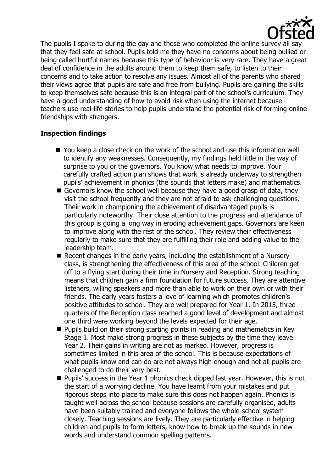

The pupils I spoke to during the day and those who completed the online survey all say that they feel safe at school. Pupils told me they have no concerns about being bullied or being called hurtful names because this type of behaviour is very rare. They have a great deal of confidence in the adults around them to keep them safe, to listen to their concerns and to take action to resolve any issues. Almost all of the parents who shared their views agree that pupils are safe and free from bullying. Pupils are gaining the skills to keep themselves safe because this is an integral part of the school's curriculum. They have a good understanding of how to avoid risk when using the internet because teachers use real-life stories to help pupils understand the potential risk of forming online friendships with strangers.

## **Inspection findings**

- You keep a close check on the work of the school and use this information well to identify any weaknesses. Consequently, my findings held little in the way of surprise to you or the governors. You know what needs to improve. Your carefully crafted action plan shows that work is already underway to strengthen pupils' achievement in phonics (the sounds that letters make) and mathematics.
- Governors know the school well because they have a good grasp of data, they visit the school frequently and they are not afraid to ask challenging questions. Their work in championing the achievement of disadvantaged pupils is particularly noteworthy. Their close attention to the progress and attendance of this group is going a long way in eroding achievement gaps. Governors are keen to improve along with the rest of the school. They review their effectiveness regularly to make sure that they are fulfilling their role and adding value to the leadership team.
- Recent changes in the early years, including the establishment of a Nursery class, is strengthening the effectiveness of this area of the school. Children get off to a flying start during their time in Nursery and Reception. Strong teaching means that children gain a firm foundation for future success. They are attentive listeners, willing speakers and more than able to work on their own or with their friends. The early years fosters a love of learning which promotes children's positive attitudes to school. They are well prepared for Year 1. In 2015, three quarters of the Reception class reached a good level of development and almost one third were working beyond the levels expected for their age.
- **Pupils build on their strong starting points in reading and mathematics in Key** Stage 1. Most make strong progress in these subjects by the time they leave Year 2. Their gains in writing are not as marked. However, progress is sometimes limited in this area of the school. This is because expectations of what pupils know and can do are not always high enough and not all pupils are challenged to do their very best.
- **Pupils' success in the Year 1 phonics check dipped last year. However, this is not** the start of a worrying decline. You have learnt from your mistakes and put rigorous steps into place to make sure this does not happen again. Phonics is taught well across the school because sessions are carefully organised, adults have been suitably trained and everyone follows the whole-school system closely. Teaching sessions are lively. They are particularly effective in helping children and pupils to form letters, know how to break up the sounds in new words and understand common spelling patterns.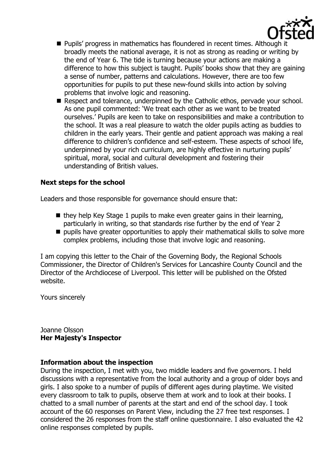

- **Pupils' progress in mathematics has floundered in recent times. Although it** broadly meets the national average, it is not as strong as reading or writing by the end of Year 6. The tide is turning because your actions are making a difference to how this subject is taught. Pupils' books show that they are gaining a sense of number, patterns and calculations. However, there are too few opportunities for pupils to put these new-found skills into action by solving problems that involve logic and reasoning.
- Respect and tolerance, underpinned by the Catholic ethos, pervade your school. As one pupil commented: 'We treat each other as we want to be treated ourselves.' Pupils are keen to take on responsibilities and make a contribution to the school. It was a real pleasure to watch the older pupils acting as buddies to children in the early years. Their gentle and patient approach was making a real difference to children's confidence and self-esteem. These aspects of school life, underpinned by your rich curriculum, are highly effective in nurturing pupils' spiritual, moral, social and cultural development and fostering their understanding of British values.

## **Next steps for the school**

Leaders and those responsible for governance should ensure that:

- $\blacksquare$  they help Key Stage 1 pupils to make even greater gains in their learning, particularly in writing, so that standards rise further by the end of Year 2
- pupils have greater opportunities to apply their mathematical skills to solve more complex problems, including those that involve logic and reasoning.

I am copying this letter to the Chair of the Governing Body, the Regional Schools Commissioner, the Director of Children's Services for Lancashire County Council and the Director of the Archdiocese of Liverpool. This letter will be published on the Ofsted website.

Yours sincerely

Joanne Olsson **Her Majesty's Inspector**

## **Information about the inspection**

During the inspection, I met with you, two middle leaders and five governors. I held discussions with a representative from the local authority and a group of older boys and girls. I also spoke to a number of pupils of different ages during playtime. We visited every classroom to talk to pupils, observe them at work and to look at their books. I chatted to a small number of parents at the start and end of the school day. I took account of the 60 responses on Parent View, including the 27 free text responses. I considered the 26 responses from the staff online questionnaire. I also evaluated the 42 online responses completed by pupils.